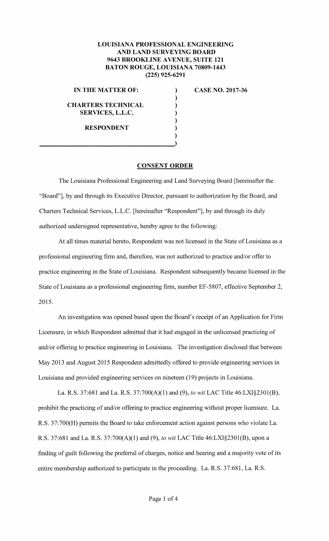## **LOUISIANA PROFESSIONAL ENGINEERING AND LAND SURVEYING BOARD 9643 BROOKLINE A VENUE, SUITE 121 BATON ROUGE, LOUISIANA 70809-1443 (225) 925-6291**

) ) ) ) ) ) )

## **IN THE MATTER OF:**

**CHARTERS TECHNICAL SERVICES, L.L.C.** 

**RESPONDENT** 

**CASE NO. 2017-36** 

## **CONSENT ORDER**

The Louisiana Professional Engineering and Land Surveying Board [hereinafter the "Board"], by and through its Executive Director, pursuant to authorization by the Board, and Charters Technical Services, L.L.C. [hereinafter "Respondent"], by and through its duly authorized undersigned representative, hereby agree to the following:

At all times material hereto, Respondent was not licensed in the State of Louisiana as a professional engineering firm and, therefore, was not authorized to practice and/or offer to practice engineering in the State of Louisiana. Respondent subsequently became licensed in the State of Louisiana as a professional engineering firm, number EF-5807, effective September 2, 2015.

An investigation was opened based upon the Board's receipt of an Application for Firm Licensure, in which Respondent admitted that it had engaged in the unlicensed practicing of and/or offering to practice engineering in Louisiana. The investigation disclosed that between May 2013 and August 2015 Respondent admittedly offered to provide engineering services in Louisiana and provided engineering services on nineteen (19) projects in Louisiana.

La. R.S. 37:681 and La. R.S. 37:700(A)(l) and (9), *to wit* LAC Title 46:LX1§2301(B), prohibit the practicing of and/or offering to practice engineering without proper licensure. La. R.S. 37:700(H) permits the Board to take enforcement action against persons who violate La. R.S. 37:681 and La. R.S. 37:700(A)(l) and (9), *to wit* LAC Title 46:LXI§2301(B), upon a finding of guilt following the preferral of charges, notice and hearing and a majority vote of its entire membership authorized to participate in the proceeding. La. R.S. 37:681, La. R.S.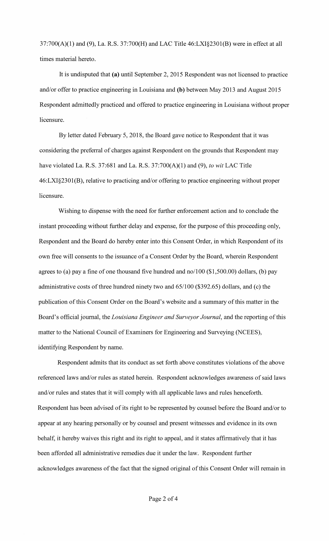37:700(A)(l) and (9), La. R.S. 37:700(H) and LAC Title 46:LXI§2301(B) were in effect at all times material hereto.

It is undisputed that **(a)** until September 2, 2015 Respondent was not licensed to practice and/or offer to practice engineering in Louisiana and **(b)** between May 2013 and August 2015 Respondent admittedly practiced and offered to practice engineering in Louisiana without proper licensure.

By letter dated February 5, 2018, the Board gave notice to Respondent that it was considering the preferral of charges against Respondent on the grounds that Respondent may have violated La. R.S. 37:681 and La. R.S. 37:700(A)(l) and (9), *to wit* LAC Title 46:LXI§2301(B), relative to practicing and/or offering to practice engineering without proper licensure.

Wishing to dispense with the need for further enforcement action and to conclude the instant proceeding without further delay and expense, for the purpose of this proceeding only, Respondent and the Board do hereby enter into this Consent Order, in which Respondent of its own free will consents to the issuance of a Consent Order by the Board, wherein Respondent agrees to (a) pay a fine of one thousand five hundred and no/100 (\$1,500.00) dollars, (b) pay administrative costs of three hundred ninety two and 65/100 (\$392.65) dollars, and (c) the publication of this Consent Order on the Board's website and a summary of this matter in the Board's official journal, the *Louisiana Engineer and Surveyor Journal,* and the reporting of this matter to the National Council of Examiners for Engineering and Surveying (NCEES), identifying Respondent by name.

Respondent admits that its conduct as set forth above constitutes violations of the above referenced laws and/or rules as stated herein. Respondent acknowledges awareness of said laws and/or rules and states that it will comply with all applicable laws and rules henceforth. Respondent has been advised of its right to be represented by counsel before the Board and/or to appear at any hearing personally or by counsel and present witnesses and evidence in its own behalf, it hereby waives this right and its right to appeal, and it states affirmatively that it has been afforded all administrative remedies due it under the law. Respondent further acknowledges awareness of the fact that the signed original of this Consent Order will remain in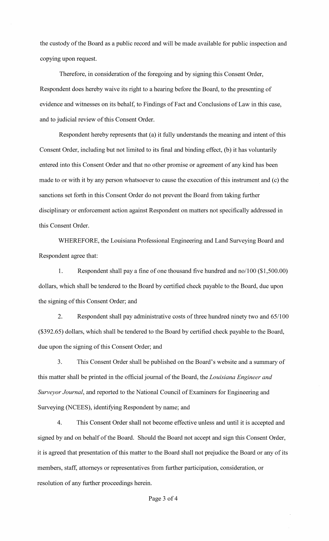the custody of the Board as a public record and will be made available for public inspection and copying upon request.

Therefore, in consideration of the foregoing and by signing this Consent Order, Respondent does hereby waive its right to a hearing before the Board, to the presenting of evidence and witnesses on its behalf, to Findings of Fact and Conclusions of Law in this case, and to judicial review of this Consent Order.

Respondent hereby represents that (a) it fully understands the meaning and intent of this Consent Order, including but not limited to its final and binding effect, (b) it has voluntarily entered into this Consent Order and that no other promise or agreement of any kind has been made to or with it by any person whatsoever to cause the execution of this instrument and (c) the sanctions set forth in this Consent Order do not prevent the Board from taking further disciplinary or enforcement action against Respondent on matters not specifically addressed in this Consent Order.

WHEREFORE, the Louisiana Professional Engineering and Land Surveying Board and Respondent agree that:

1. Respondent shall pay a fine of one thousand five hundred and no/100 (\$1,500.00) dollars, which shall be tendered to the Board by certified check payable to the Board, due upon the signing of this Consent Order; and

2. Respondent shall pay administrative costs of three hundred ninety two and 65/100 (\$392.65) dollars, which shall be tendered to the Board by certified check payable to the Board, due upon the signing of this Consent Order; and

3. This Consent Order shall be published on the Board's website and a summary of this matter shall be printed in the official journal of the Board, the *Louisiana Engineer and Surveyor Journal,* and reported to the National Council of Examiners for Engineering and Surveying (NCEES), identifying Respondent by name; and

4. This Consent Order shall not become effective unless and until it is accepted and signed by and on behalf of the Board. Should the Board not accept and sign this Consent Order, it is agreed that presentation of this matter to the Board shall not prejudice the Board or any of its members, staff, attorneys or representatives from further participation, consideration, or resolution of any further proceedings herein.